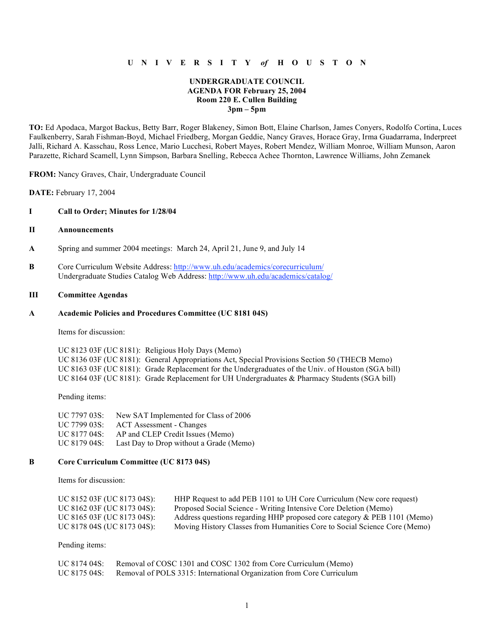## **U N I V E R S I T Y** *of* **H O U S T O N**

## **UNDERGRADUATE COUNCIL AGENDA FOR February 25, 2004 Room 220 E. Cullen Building 3pm – 5pm**

**TO:** Ed Apodaca, Margot Backus, Betty Barr, Roger Blakeney, Simon Bott, Elaine Charlson, James Conyers, Rodolfo Cortina, Luces Faulkenberry, Sarah Fishman-Boyd, Michael Friedberg, Morgan Geddie, Nancy Graves, Horace Gray, Irma Guadarrama, Inderpreet Jalli, Richard A. Kasschau, Ross Lence, Mario Lucchesi, Robert Mayes, Robert Mendez, William Monroe, William Munson, Aaron Parazette, Richard Scamell, Lynn Simpson, Barbara Snelling, Rebecca Achee Thornton, Lawrence Williams, John Zemanek

**FROM:** Nancy Graves, Chair, Undergraduate Council

**DATE:** February 17, 2004

### **I Call to Order; Minutes for 1/28/04**

## **II Announcements**

- **A** Spring and summer 2004 meetings: March 24, April 21, June 9, and July 14
- **B** Core Curriculum Website Address: http://www.uh.edu/academics/corecurriculum/ Undergraduate Studies Catalog Web Address: http://www.uh.edu/academics/catalog/

## **III Committee Agendas**

#### **A Academic Policies and Procedures Committee (UC 8181 04S)**

Items for discussion:

UC 8123 03F (UC 8181): Religious Holy Days (Memo) UC 8136 03F (UC 8181): General Appropriations Act, Special Provisions Section 50 (THECB Memo) UC 8163 03F (UC 8181): Grade Replacement for the Undergraduates of the Univ. of Houston (SGA bill) UC 8164 03F (UC 8181): Grade Replacement for UH Undergraduates & Pharmacy Students (SGA bill)

Pending items:

| UC 7797 03S: | New SAT Implemented for Class of 2006   |
|--------------|-----------------------------------------|
| UC 7799 03S: | ACT Assessment - Changes                |
| UC 8177 04S: | AP and CLEP Credit Issues (Memo)        |
| UC 8179 04S: | Last Day to Drop without a Grade (Memo) |

#### **B Core Curriculum Committee (UC 8173 04S)**

Items for discussion:

| UC 8152 03F (UC 8173 04S): | HHP Request to add PEB 1101 to UH Core Curriculum (New core request)      |
|----------------------------|---------------------------------------------------------------------------|
| UC 8162 03F (UC 8173 04S): | Proposed Social Science - Writing Intensive Core Deletion (Memo)          |
| UC 8165 03F (UC 8173 04S): | Address questions regarding HHP proposed core category & PEB 1101 (Memo)  |
| UC 8178 04S (UC 8173 04S): | Moving History Classes from Humanities Core to Social Science Core (Memo) |

Pending items:

| UC 8174 04S: | Removal of COSC 1301 and COSC 1302 from Core Curriculum (Memo)        |
|--------------|-----------------------------------------------------------------------|
| UC 8175 04S: | Removal of POLS 3315: International Organization from Core Curriculum |